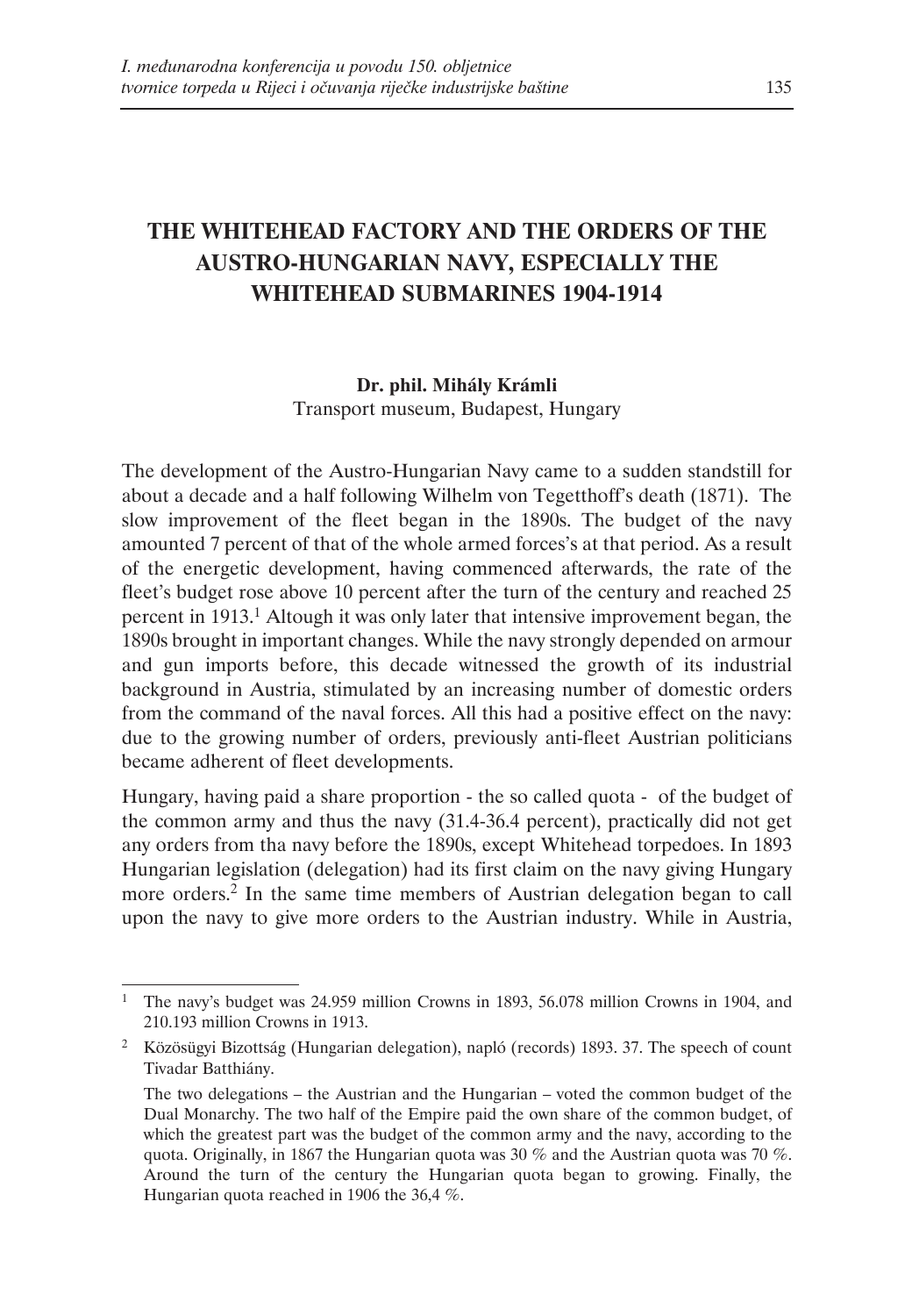# **THE WHITEHEAD FACTORY AND THE ORDERS OF THE AUSTRO-HUNGARIAN NAVY, ESPECIALLY THE WHITEHEAD SUBMARINES 1904-1914**

### **Dr. phil. Mihály Krámli**

Transport museum, Budapest, Hungary

The development of the Austro-Hungarian Navy came to a sudden standstill for about a decade and a half following Wilhelm von Tegetthoff's death (1871). The slow improvement of the fleet began in the 1890s. The budget of the navy amounted 7 percent of that of the whole armed forces's at that period. As a result of the energetic development, having commenced afterwards, the rate of the fleet's budget rose above 10 percent after the turn of the century and reached 25 percent in 1913.1 Altough it was only later that intensive improvement began, the 1890s brought in important changes. While the navy strongly depended on armour and gun imports before, this decade witnessed the growth of its industrial background in Austria, stimulated by an increasing number of domestic orders from the command of the naval forces. All this had a positive effect on the navy: due to the growing number of orders, previously anti-fleet Austrian politicians became adherent of fleet developments.

Hungary, having paid a share proportion - the so called quota - of the budget of the common army and thus the navy (31.4-36.4 percent), practically did not get any orders from tha navy before the 1890s, except Whitehead torpedoes. In 1893 Hungarian legislation (delegation) had its first claim on the navy giving Hungary more orders.2 In the same time members of Austrian delegation began to call upon the navy to give more orders to the Austrian industry. While in Austria,

<sup>1</sup> The navy's budget was 24.959 million Crowns in 1893, 56.078 million Crowns in 1904, and 210.193 million Crowns in 1913.

<sup>2</sup> Közösügyi Bizottság (Hungarian delegation), napló (records) 1893. 37. The speech of count Tivadar Batthiány.

The two delegations – the Austrian and the Hungarian – voted the common budget of the Dual Monarchy. The two half of the Empire paid the own share of the common budget, of which the greatest part was the budget of the common army and the navy, according to the quota. Originally, in 1867 the Hungarian quota was 30 % and the Austrian quota was 70 %. Around the turn of the century the Hungarian quota began to growing. Finally, the Hungarian quota reached in 1906 the 36,4 %.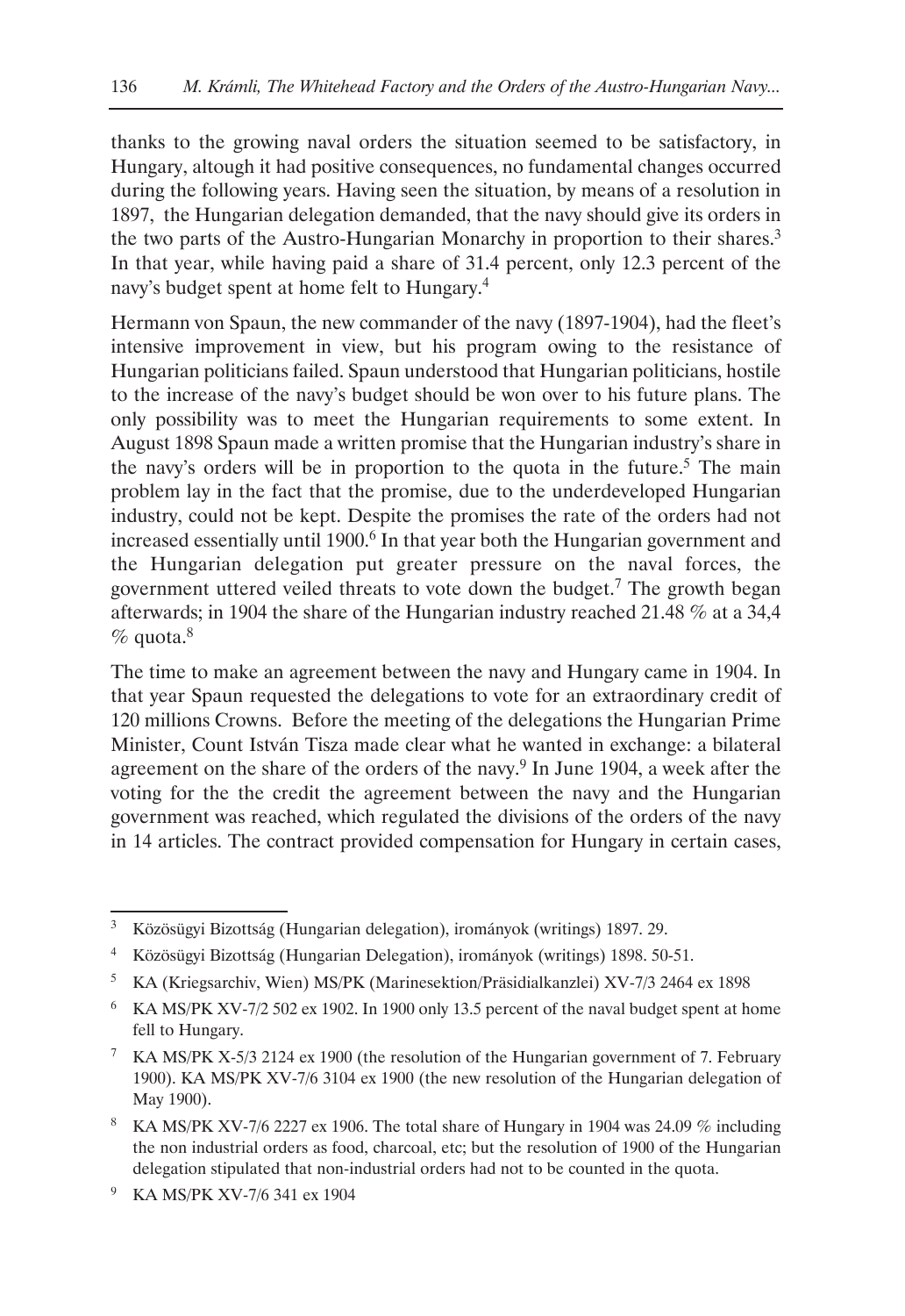thanks to the growing naval orders the situation seemed to be satisfactory, in Hungary, altough it had positive consequences, no fundamental changes occurred during the following years. Having seen the situation, by means of a resolution in 1897, the Hungarian delegation demanded, that the navy should give its orders in the two parts of the Austro-Hungarian Monarchy in proportion to their shares.3 In that year, while having paid a share of 31.4 percent, only 12.3 percent of the navy's budget spent at home felt to Hungary.4

Hermann von Spaun, the new commander of the navy (1897-1904), had the fleet's intensive improvement in view, but his program owing to the resistance of Hungarian politicians failed. Spaun understood that Hungarian politicians, hostile to the increase of the navy's budget should be won over to his future plans. The only possibility was to meet the Hungarian requirements to some extent. In August 1898 Spaun made a written promise that the Hungarian industry's share in the navy's orders will be in proportion to the quota in the future.<sup>5</sup> The main problem lay in the fact that the promise, due to the underdeveloped Hungarian industry, could not be kept. Despite the promises the rate of the orders had not increased essentially until 1900.<sup>6</sup> In that year both the Hungarian government and the Hungarian delegation put greater pressure on the naval forces, the government uttered veiled threats to vote down the budget.<sup>7</sup> The growth began afterwards; in 1904 the share of the Hungarian industry reached 21.48 % at a 34,4  $%$  quota. $8$ 

The time to make an agreement between the navy and Hungary came in 1904. In that year Spaun requested the delegations to vote for an extraordinary credit of 120 millions Crowns. Before the meeting of the delegations the Hungarian Prime Minister, Count István Tisza made clear what he wanted in exchange: a bilateral agreement on the share of the orders of the navy.<sup>9</sup> In June 1904, a week after the voting for the the credit the agreement between the navy and the Hungarian government was reached, which regulated the divisions of the orders of the navy in 14 articles. The contract provided compensation for Hungary in certain cases,

<sup>9</sup> KA MS/PK XV-7/6 341 ex 1904

<sup>3</sup> Közösügyi Bizottság (Hungarian delegation), irományok (writings) 1897. 29.

<sup>4</sup> Közösügyi Bizottság (Hungarian Delegation), irományok (writings) 1898. 50-51.

<sup>5</sup> KA (Kriegsarchiv, Wien) MS/PK (Marinesektion/Präsidialkanzlei) XV-7/3 2464 ex 1898

<sup>6</sup> KA MS/PK XV-7/2 502 ex 1902. In 1900 only 13.5 percent of the naval budget spent at home fell to Hungary.

<sup>7</sup> KA MS/PK X-5/3 2124 ex 1900 (the resolution of the Hungarian government of 7. February 1900). KA MS/PK XV-7/6 3104 ex 1900 (the new resolution of the Hungarian delegation of May 1900).

<sup>&</sup>lt;sup>8</sup> KA MS/PK XV-7/6 2227 ex 1906. The total share of Hungary in 1904 was 24.09  $%$  including the non industrial orders as food, charcoal, etc; but the resolution of 1900 of the Hungarian delegation stipulated that non-industrial orders had not to be counted in the quota.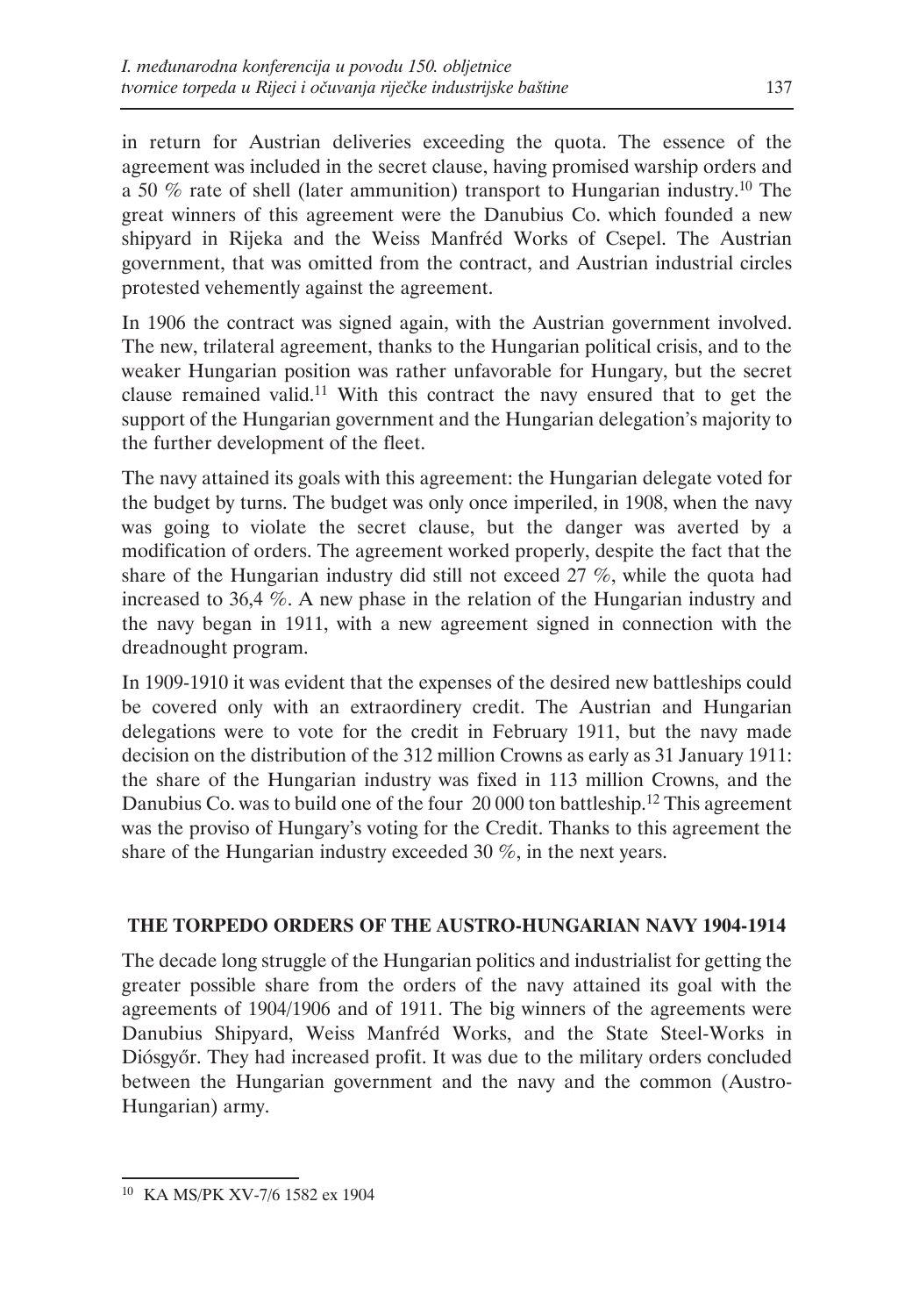in return for Austrian deliveries exceeding the quota. The essence of the agreement was included in the secret clause, having promised warship orders and a 50 % rate of shell (later ammunition) transport to Hungarian industry.10 The great winners of this agreement were the Danubius Co. which founded a new shipyard in Rijeka and the Weiss Manfréd Works of Csepel. The Austrian government, that was omitted from the contract, and Austrian industrial circles protested vehemently against the agreement.

In 1906 the contract was signed again, with the Austrian government involved. The new, trilateral agreement, thanks to the Hungarian political crisis, and to the weaker Hungarian position was rather unfavorable for Hungary, but the secret clause remained valid.11 With this contract the navy ensured that to get the support of the Hungarian government and the Hungarian delegation's majority to the further development of the fleet.

The navy attained its goals with this agreement: the Hungarian delegate voted for the budget by turns. The budget was only once imperiled, in 1908, when the navy was going to violate the secret clause, but the danger was averted by a modification of orders. The agreement worked properly, despite the fact that the share of the Hungarian industry did still not exceed 27 %, while the quota had increased to 36,4 %. A new phase in the relation of the Hungarian industry and the navy began in 1911, with a new agreement signed in connection with the dreadnought program.

In 1909-1910 it was evident that the expenses of the desired new battleships could be covered only with an extraordinery credit. The Austrian and Hungarian delegations were to vote for the credit in February 1911, but the navy made decision on the distribution of the 312 million Crowns as early as 31 January 1911: the share of the Hungarian industry was fixed in 113 million Crowns, and the Danubius Co. was to build one of the four 20 000 ton battleship.<sup>12</sup> This agreement was the proviso of Hungary's voting for the Credit. Thanks to this agreement the share of the Hungarian industry exceeded 30 %, in the next years.

# **THE TORPEDO ORDERS OF THE AUSTRO-HUNGARIAN NAVY 1904-1914**

The decade long struggle of the Hungarian politics and industrialist for getting the greater possible share from the orders of the navy attained its goal with the agreements of 1904/1906 and of 1911. The big winners of the agreements were Danubius Shipyard, Weiss Manfréd Works, and the State Steel-Works in Diósgyőr. They had increased profit. It was due to the military orders concluded between the Hungarian government and the navy and the common (Austro-Hungarian) army.

<sup>10</sup> KA MS/PK XV-7/6 1582 ex 1904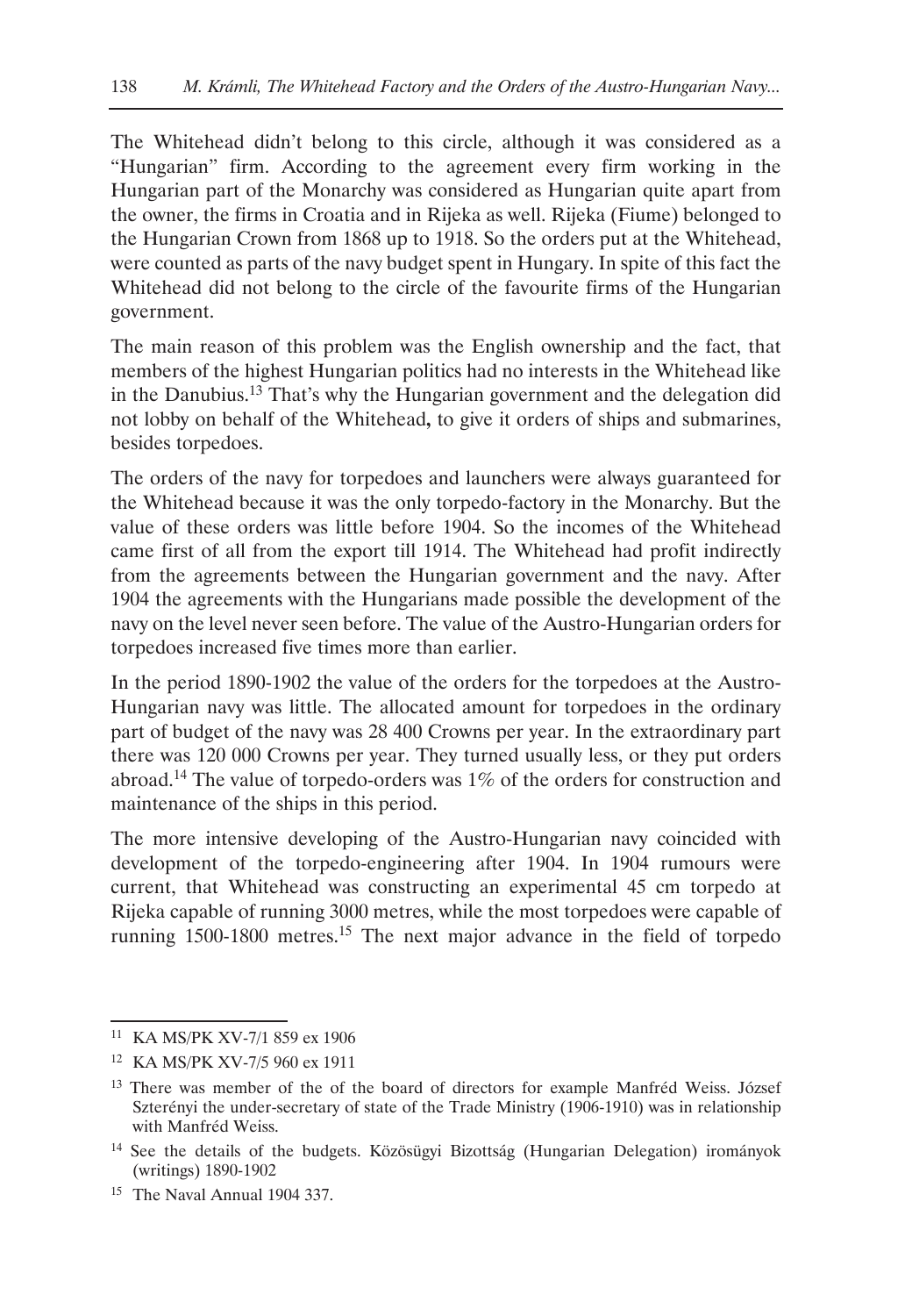The Whitehead didn't belong to this circle, although it was considered as a "Hungarian" firm. According to the agreement every firm working in the Hungarian part of the Monarchy was considered as Hungarian quite apart from the owner, the firms in Croatia and in Rijeka as well. Rijeka (Fiume) belonged to the Hungarian Crown from 1868 up to 1918. So the orders put at the Whitehead, were counted as parts of the navy budget spent in Hungary. In spite of this fact the Whitehead did not belong to the circle of the favourite firms of the Hungarian government.

The main reason of this problem was the English ownership and the fact, that members of the highest Hungarian politics had no interests in the Whitehead like in the Danubius.13 That's why the Hungarian government and the delegation did not lobby on behalf of the Whitehead**,** to give it orders of ships and submarines, besides torpedoes.

The orders of the navy for torpedoes and launchers were always guaranteed for the Whitehead because it was the only torpedo-factory in the Monarchy. But the value of these orders was little before 1904. So the incomes of the Whitehead came first of all from the export till 1914. The Whitehead had profit indirectly from the agreements between the Hungarian government and the navy. After 1904 the agreements with the Hungarians made possible the development of the navy on the level never seen before. The value of the Austro-Hungarian orders for torpedoes increased five times more than earlier.

In the period 1890-1902 the value of the orders for the torpedoes at the Austro-Hungarian navy was little. The allocated amount for torpedoes in the ordinary part of budget of the navy was 28 400 Crowns per year. In the extraordinary part there was 120 000 Crowns per year. They turned usually less, or they put orders abroad.14 The value of torpedo-orders was 1% of the orders for construction and maintenance of the ships in this period.

The more intensive developing of the Austro-Hungarian navy coincided with development of the torpedo-engineering after 1904. In 1904 rumours were current, that Whitehead was constructing an experimental 45 cm torpedo at Rijeka capable of running 3000 metres, while the most torpedoes were capable of running 1500-1800 metres.<sup>15</sup> The next major advance in the field of torpedo

<sup>11</sup> KA MS/PK XV-7/1 859 ex 1906

<sup>12</sup> KA MS/PK XV-7/5 960 ex 1911

<sup>&</sup>lt;sup>13</sup> There was member of the of the board of directors for example Manfréd Weiss. József Szterényi the under-secretary of state of the Trade Ministry (1906-1910) was in relationship with Manfréd Weiss.

<sup>14</sup> See the details of the budgets. Közösügyi Bizottság (Hungarian Delegation) irományok (writings) 1890-1902

<sup>15</sup> The Naval Annual 1904 337.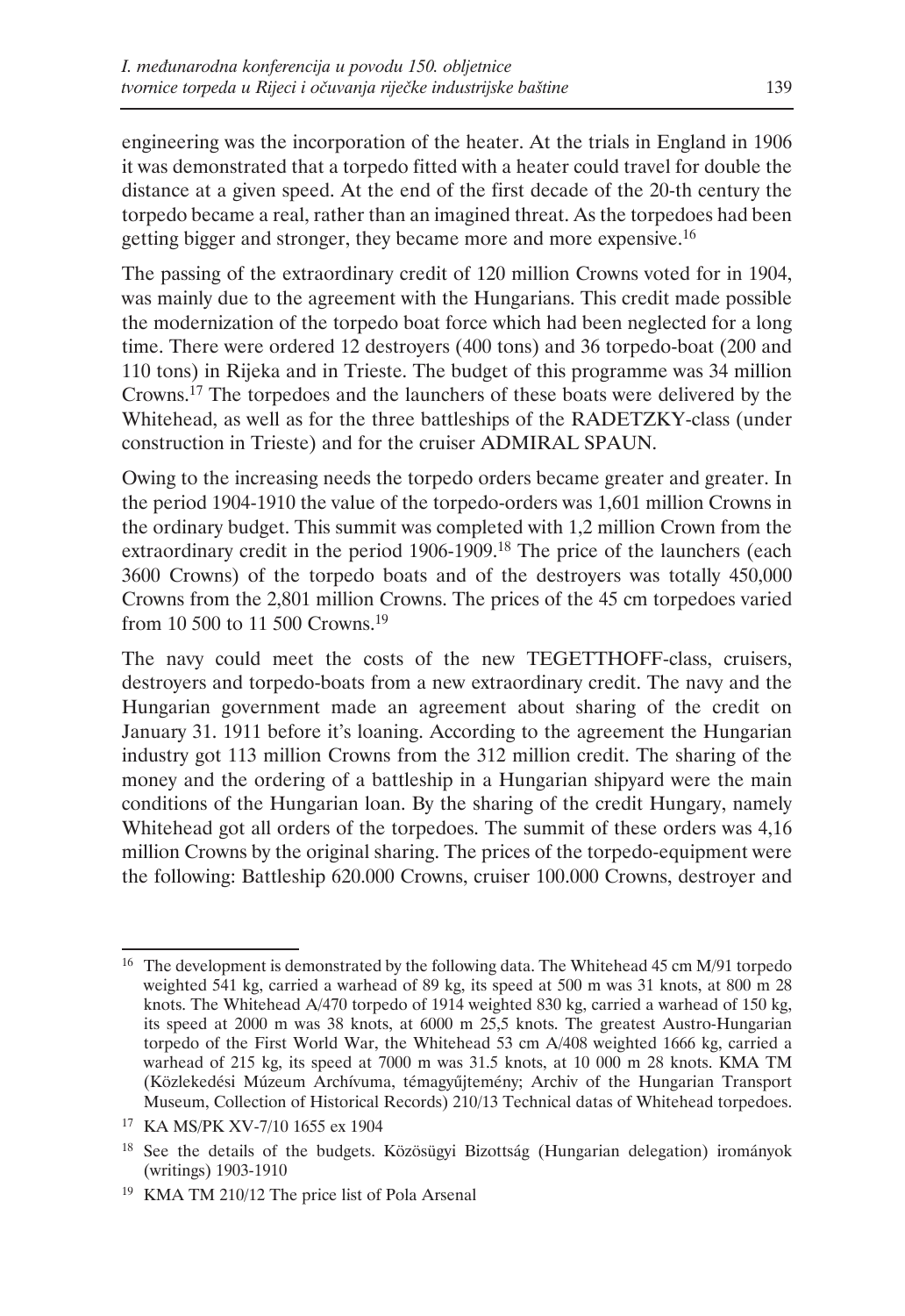engineering was the incorporation of the heater. At the trials in England in 1906 it was demonstrated that a torpedo fitted with a heater could travel for double the distance at a given speed. At the end of the first decade of the 20-th century the torpedo became a real, rather than an imagined threat. As the torpedoes had been getting bigger and stronger, they became more and more expensive.<sup>16</sup>

The passing of the extraordinary credit of 120 million Crowns voted for in 1904, was mainly due to the agreement with the Hungarians. This credit made possible the modernization of the torpedo boat force which had been neglected for a long time. There were ordered 12 destroyers (400 tons) and 36 torpedo-boat (200 and 110 tons) in Rijeka and in Trieste. The budget of this programme was 34 million Crowns.17 The torpedoes and the launchers of these boats were delivered by the Whitehead, as well as for the three battleships of the RADETZKY-class (under construction in Trieste) and for the cruiser ADMIRAL SPAUN.

Owing to the increasing needs the torpedo orders became greater and greater. In the period 1904-1910 the value of the torpedo-orders was 1,601 million Crowns in the ordinary budget. This summit was completed with 1,2 million Crown from the extraordinary credit in the period 1906-1909.18 The price of the launchers (each 3600 Crowns) of the torpedo boats and of the destroyers was totally 450,000 Crowns from the 2,801 million Crowns. The prices of the 45 cm torpedoes varied from 10 500 to 11 500 Crowns.19

The navy could meet the costs of the new TEGETTHOFF-class, cruisers, destroyers and torpedo-boats from a new extraordinary credit. The navy and the Hungarian government made an agreement about sharing of the credit on January 31. 1911 before it's loaning. According to the agreement the Hungarian industry got 113 million Crowns from the 312 million credit. The sharing of the money and the ordering of a battleship in a Hungarian shipyard were the main conditions of the Hungarian loan. By the sharing of the credit Hungary, namely Whitehead got all orders of the torpedoes. The summit of these orders was 4,16 million Crowns by the original sharing. The prices of the torpedo-equipment were the following: Battleship 620.000 Crowns, cruiser 100.000 Crowns, destroyer and

<sup>&</sup>lt;sup>16</sup> The development is demonstrated by the following data. The Whitehead 45 cm M/91 torpedo weighted 541 kg, carried a warhead of 89 kg, its speed at 500 m was 31 knots, at 800 m 28 knots. The Whitehead A/470 torpedo of 1914 weighted 830 kg, carried a warhead of 150 kg, its speed at 2000 m was 38 knots, at 6000 m 25,5 knots. The greatest Austro-Hungarian torpedo of the First World War, the Whitehead 53 cm A/408 weighted 1666 kg, carried a warhead of 215 kg, its speed at 7000 m was 31.5 knots, at 10 000 m 28 knots. KMA TM (Közlekedési Múzeum Archívuma, témagyűjtemény; Archiv of the Hungarian Transport Museum, Collection of Historical Records) 210/13 Technical datas of Whitehead torpedoes.

<sup>17</sup> KA MS/PK XV-7/10 1655 ex 1904

<sup>&</sup>lt;sup>18</sup> See the details of the budgets. Közösügyi Bizottság (Hungarian delegation) irományok (writings) 1903-1910

<sup>19</sup> KMA TM 210/12 The price list of Pola Arsenal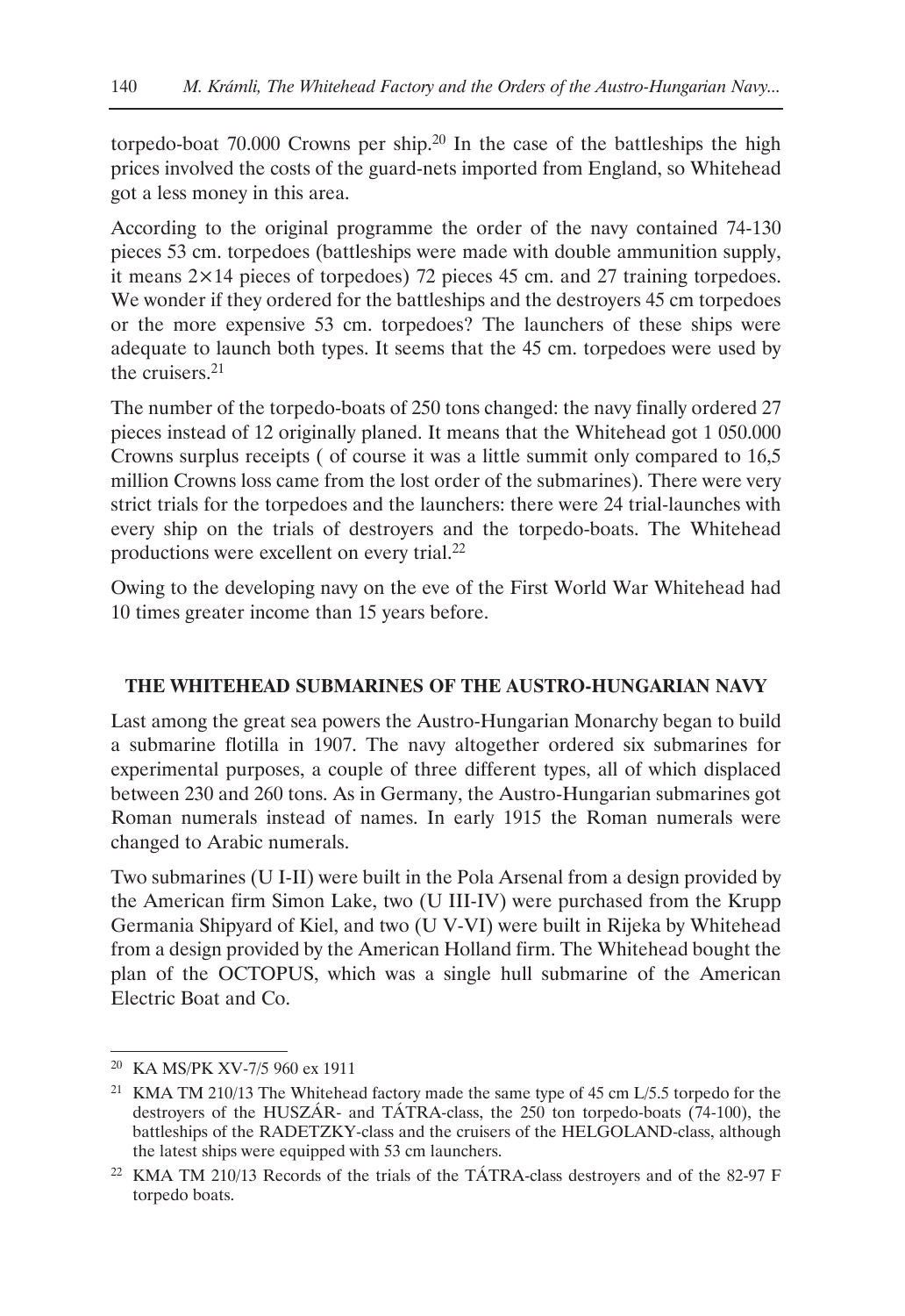torpedo-boat  $70.000$  Crowns per ship.<sup>20</sup> In the case of the battleships the high prices involved the costs of the guard-nets imported from England, so Whitehead got a less money in this area.

According to the original programme the order of the navy contained 74-130 pieces 53 cm. torpedoes (battleships were made with double ammunition supply, it means  $2 \times 14$  pieces of torpedoes) 72 pieces 45 cm. and 27 training torpedoes. We wonder if they ordered for the battleships and the destroyers 45 cm torpedoes or the more expensive 53 cm. torpedoes? The launchers of these ships were adequate to launch both types. It seems that the 45 cm. torpedoes were used by the cruisers.21

The number of the torpedo-boats of 250 tons changed: the navy finally ordered 27 pieces instead of 12 originally planed. It means that the Whitehead got 1 050.000 Crowns surplus receipts ( of course it was a little summit only compared to 16,5 million Crowns loss came from the lost order of the submarines). There were very strict trials for the torpedoes and the launchers: there were 24 trial-launches with every ship on the trials of destroyers and the torpedo-boats. The Whitehead productions were excellent on every trial.22

Owing to the developing navy on the eve of the First World War Whitehead had 10 times greater income than 15 years before.

## **THE WHITEHEAD SUBMARINES OF THE AUSTRO-HUNGARIAN NAVY**

Last among the great sea powers the Austro-Hungarian Monarchy began to build a submarine flotilla in 1907. The navy altogether ordered six submarines for experimental purposes, a couple of three different types, all of which displaced between 230 and 260 tons. As in Germany, the Austro-Hungarian submarines got Roman numerals instead of names. In early 1915 the Roman numerals were changed to Arabic numerals.

Two submarines (U I-II) were built in the Pola Arsenal from a design provided by the American firm Simon Lake, two (U III-IV) were purchased from the Krupp Germania Shipyard of Kiel, and two (U V-VI) were built in Rijeka by Whitehead from a design provided by the American Holland firm. The Whitehead bought the plan of the OCTOPUS, which was a single hull submarine of the American Electric Boat and Co.

<sup>20</sup> KA MS/PK XV-7/5 960 ex 1911

<sup>&</sup>lt;sup>21</sup> KMA TM 210/13 The Whitehead factory made the same type of 45 cm L/5.5 torpedo for the destroyers of the HUSZÁR- and TÁTRA-class, the 250 ton torpedo-boats (74-100), the battleships of the RADETZKY-class and the cruisers of the HELGOLAND-class, although the latest ships were equipped with 53 cm launchers.

<sup>&</sup>lt;sup>22</sup> KMA TM 210/13 Records of the trials of the TÁTRA-class destroyers and of the 82-97 F torpedo boats.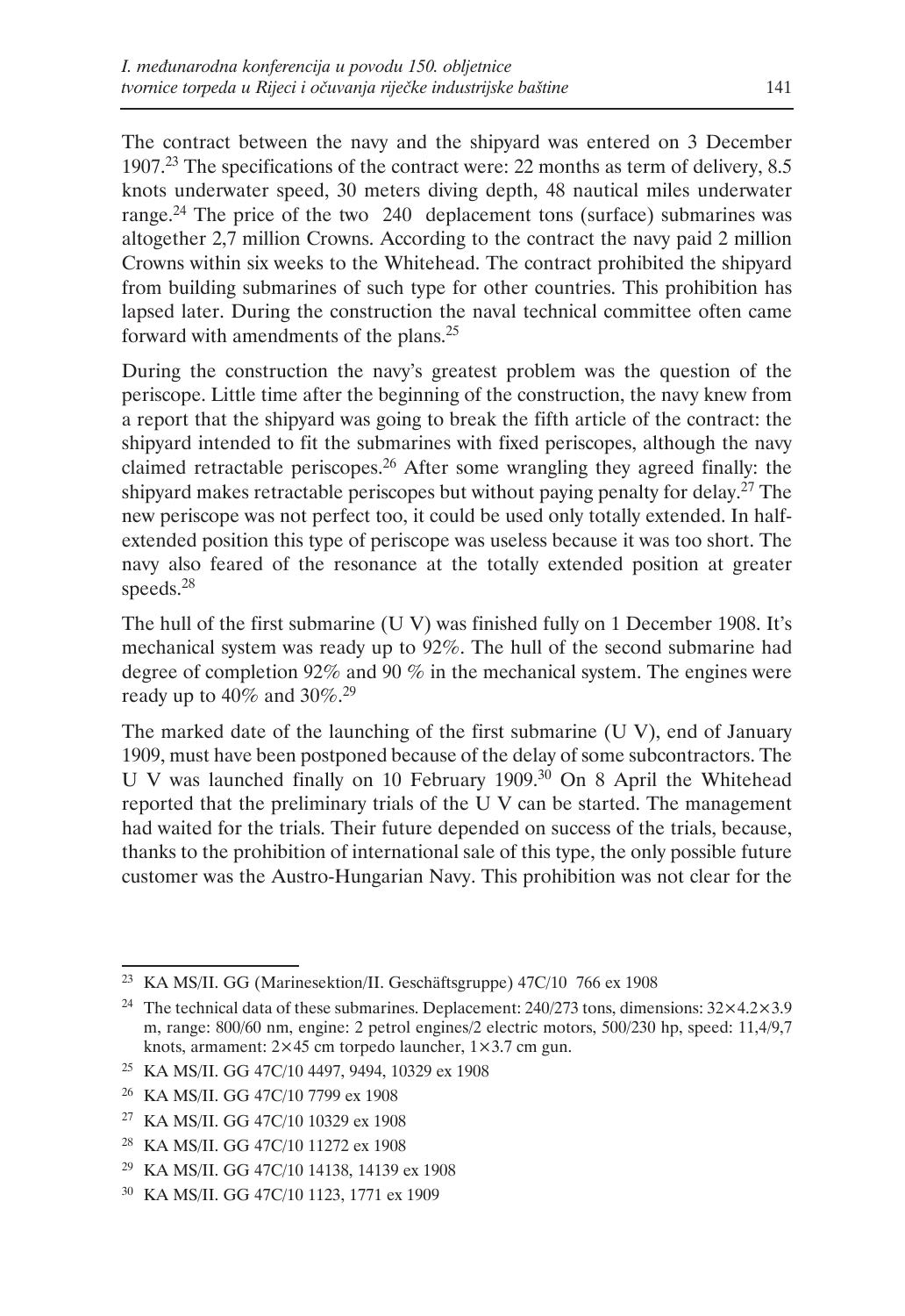The contract between the navy and the shipyard was entered on 3 December 1907.23 The specifications of the contract were: 22 months as term of delivery, 8.5 knots underwater speed, 30 meters diving depth, 48 nautical miles underwater range.<sup>24</sup> The price of the two 240 deplacement tons (surface) submarines was altogether 2,7 million Crowns. According to the contract the navy paid 2 million Crowns within six weeks to the Whitehead. The contract prohibited the shipyard from building submarines of such type for other countries. This prohibition has lapsed later. During the construction the naval technical committee often came forward with amendments of the plans.25

During the construction the navy's greatest problem was the question of the periscope. Little time after the beginning of the construction, the navy knew from a report that the shipyard was going to break the fifth article of the contract: the shipyard intended to fit the submarines with fixed periscopes, although the navy claimed retractable periscopes.26 After some wrangling they agreed finally: the shipyard makes retractable periscopes but without paying penalty for delay.<sup>27</sup> The new periscope was not perfect too, it could be used only totally extended. In halfextended position this type of periscope was useless because it was too short. The navy also feared of the resonance at the totally extended position at greater speeds.28

The hull of the first submarine (U V) was finished fully on 1 December 1908. It's mechanical system was ready up to 92%. The hull of the second submarine had degree of completion 92% and 90 % in the mechanical system. The engines were ready up to  $40\%$  and  $30\%$ <sup>29</sup>

The marked date of the launching of the first submarine (U V), end of January 1909, must have been postponed because of the delay of some subcontractors. The U V was launched finally on 10 February 1909.30 On 8 April the Whitehead reported that the preliminary trials of the U V can be started. The management had waited for the trials. Their future depended on success of the trials, because, thanks to the prohibition of international sale of this type, the only possible future customer was the Austro-Hungarian Navy. This prohibition was not clear for the

<sup>23</sup> KA MS/II. GG (Marinesektion/II. Geschäftsgruppe) 47C/10 766 ex 1908

<sup>&</sup>lt;sup>24</sup> The technical data of these submarines. Deplacement: 240/273 tons, dimensions:  $32\times4.2\times3.9$ m, range: 800/60 nm, engine: 2 petrol engines/2 electric motors, 500/230 hp, speed: 11,4/9,7 knots, armament: 2×45 cm torpedo launcher, 1×3.7 cm gun.

<sup>25</sup> KA MS/II. GG 47C/10 4497, 9494, 10329 ex 1908

<sup>26</sup> KA MS/II. GG 47C/10 7799 ex 1908

<sup>27</sup> KA MS/II. GG 47C/10 10329 ex 1908

<sup>28</sup> KA MS/II. GG 47C/10 11272 ex 1908

<sup>29</sup> KA MS/II. GG 47C/10 14138, 14139 ex 1908

<sup>30</sup> KA MS/II. GG 47C/10 1123, 1771 ex 1909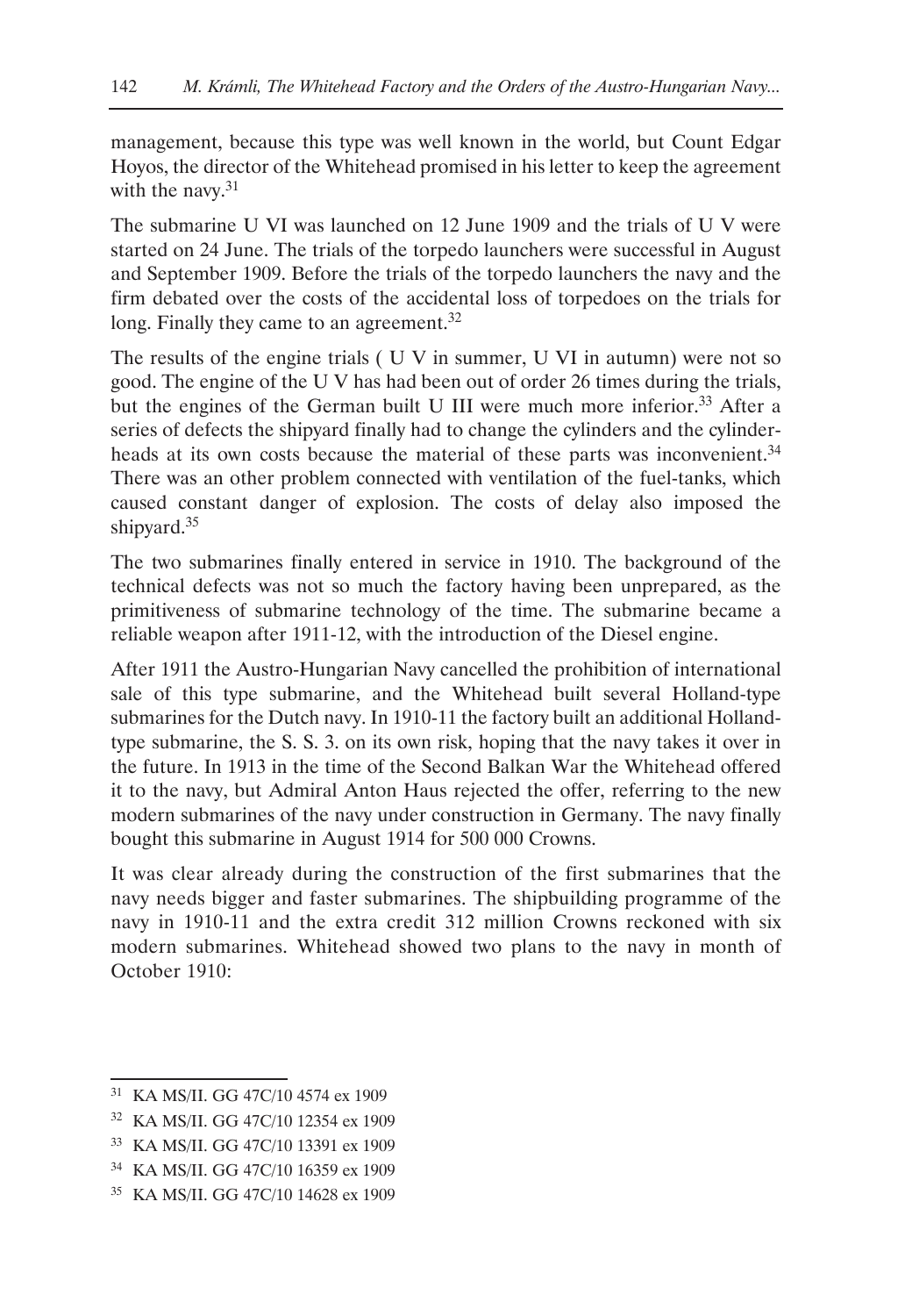management, because this type was well known in the world, but Count Edgar Hoyos, the director of the Whitehead promised in his letter to keep the agreement with the navy. $31$ 

The submarine U VI was launched on 12 June 1909 and the trials of U V were started on 24 June. The trials of the torpedo launchers were successful in August and September 1909. Before the trials of the torpedo launchers the navy and the firm debated over the costs of the accidental loss of torpedoes on the trials for long. Finally they came to an agreement.<sup>32</sup>

The results of the engine trials ( U V in summer, U VI in autumn) were not so good. The engine of the U V has had been out of order 26 times during the trials, but the engines of the German built U III were much more inferior.<sup>33</sup> After a series of defects the shipyard finally had to change the cylinders and the cylinderheads at its own costs because the material of these parts was inconvenient.<sup>34</sup> There was an other problem connected with ventilation of the fuel-tanks, which caused constant danger of explosion. The costs of delay also imposed the shipyard.35

The two submarines finally entered in service in 1910. The background of the technical defects was not so much the factory having been unprepared, as the primitiveness of submarine technology of the time. The submarine became a reliable weapon after 1911-12, with the introduction of the Diesel engine.

After 1911 the Austro-Hungarian Navy cancelled the prohibition of international sale of this type submarine, and the Whitehead built several Holland-type submarines for the Dutch navy. In 1910-11 the factory built an additional Hollandtype submarine, the S. S. 3. on its own risk, hoping that the navy takes it over in the future. In 1913 in the time of the Second Balkan War the Whitehead offered it to the navy, but Admiral Anton Haus rejected the offer, referring to the new modern submarines of the navy under construction in Germany. The navy finally bought this submarine in August 1914 for 500 000 Crowns.

It was clear already during the construction of the first submarines that the navy needs bigger and faster submarines. The shipbuilding programme of the navy in 1910-11 and the extra credit 312 million Crowns reckoned with six modern submarines. Whitehead showed two plans to the navy in month of October 1910:

<sup>31</sup> KA MS/II. GG 47C/10 4574 ex 1909

<sup>32</sup> KA MS/II. GG 47C/10 12354 ex 1909

<sup>33</sup> KA MS/II. GG 47C/10 13391 ex 1909

<sup>34</sup> KA MS/II. GG 47C/10 16359 ex 1909

<sup>35</sup> KA MS/II. GG 47C/10 14628 ex 1909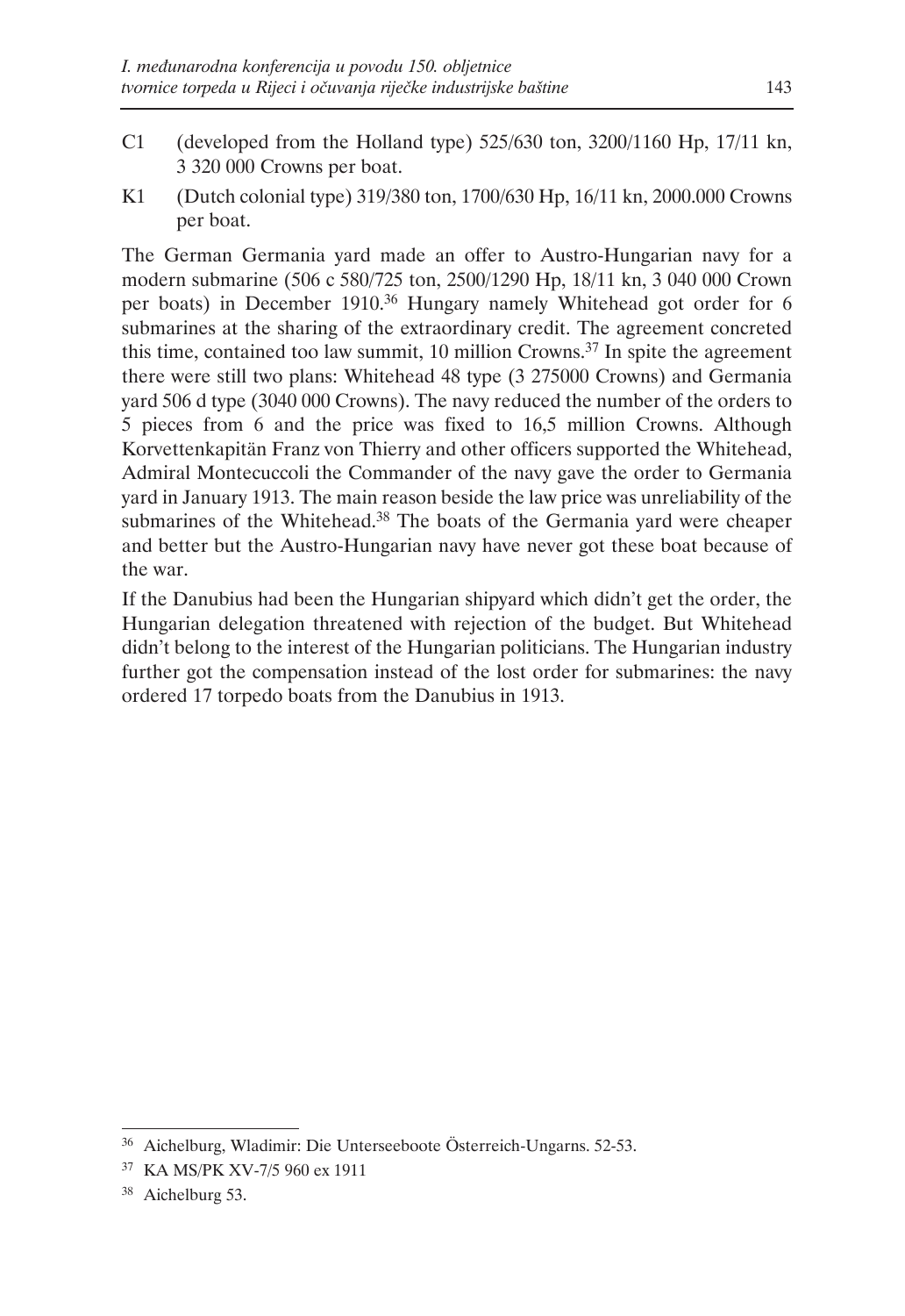- C1 (developed from the Holland type) 525/630 ton, 3200/1160 Hp, 17/11 kn, 3 320 000 Crowns per boat.
- K1 (Dutch colonial type) 319/380 ton, 1700/630 Hp, 16/11 kn, 2000.000 Crowns per boat.

The German Germania yard made an offer to Austro-Hungarian navy for a modern submarine (506 c 580/725 ton, 2500/1290 Hp, 18/11 kn, 3 040 000 Crown per boats) in December 1910.<sup>36</sup> Hungary namely Whitehead got order for 6 submarines at the sharing of the extraordinary credit. The agreement concreted this time, contained too law summit, 10 million Crowns.<sup>37</sup> In spite the agreement there were still two plans: Whitehead 48 type (3 275000 Crowns) and Germania yard 506 d type (3040 000 Crowns). The navy reduced the number of the orders to 5 pieces from 6 and the price was fixed to 16,5 million Crowns. Although Korvettenkapitän Franz von Thierry and other officers supported the Whitehead, Admiral Montecuccoli the Commander of the navy gave the order to Germania yard in January 1913. The main reason beside the law price was unreliability of the submarines of the Whitehead.<sup>38</sup> The boats of the Germania yard were cheaper and better but the Austro-Hungarian navy have never got these boat because of the war.

If the Danubius had been the Hungarian shipyard which didn't get the order, the Hungarian delegation threatened with rejection of the budget. But Whitehead didn't belong to the interest of the Hungarian politicians. The Hungarian industry further got the compensation instead of the lost order for submarines: the navy ordered 17 torpedo boats from the Danubius in 1913.

<sup>36</sup> Aichelburg, Wladimir: Die Unterseeboote Österreich-Ungarns. 52-53.

<sup>37</sup> KA MS/PK XV-7/5 960 ex 1911

<sup>38</sup> Aichelburg 53.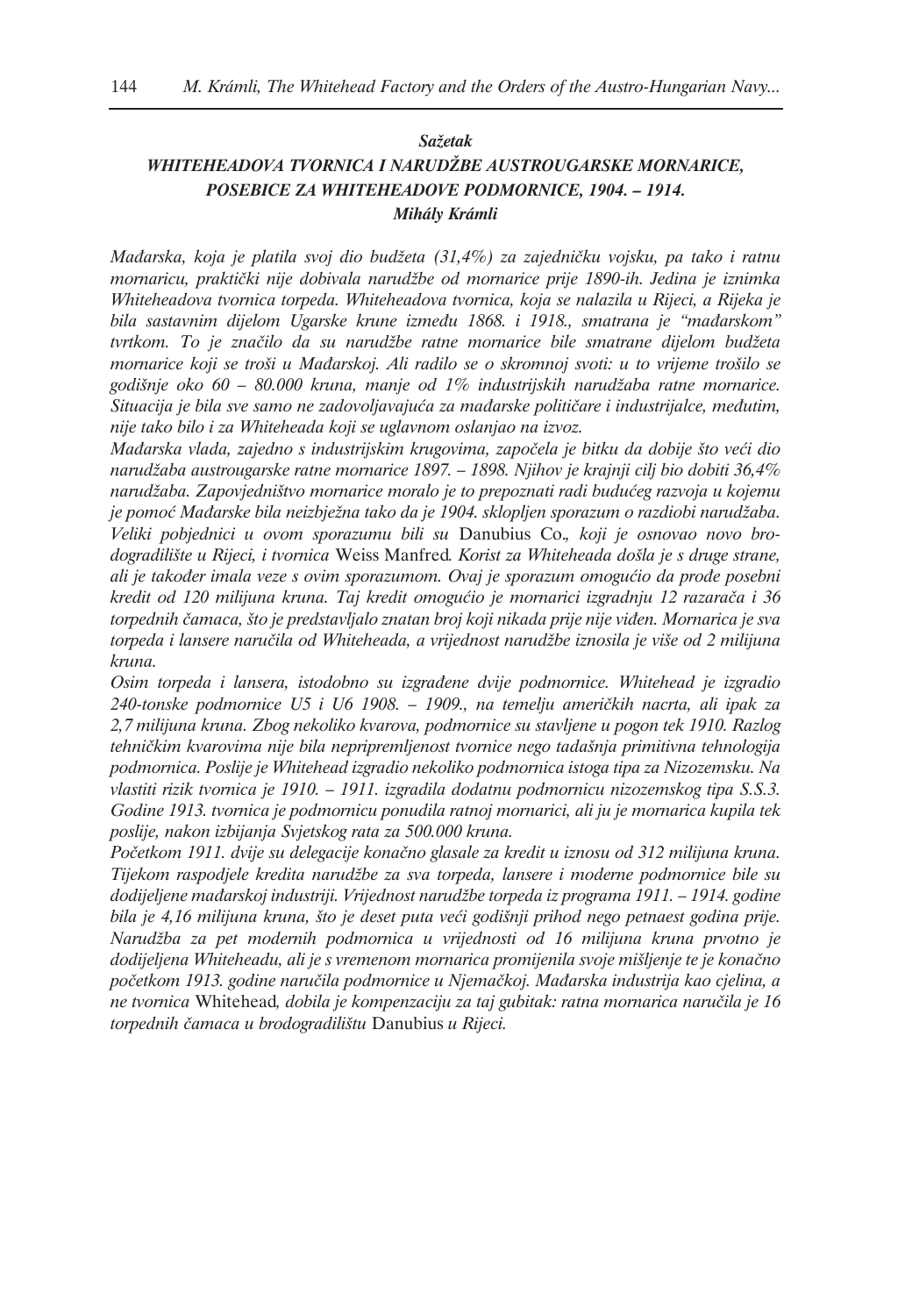#### *Sažetak*

# *WHITEHEADOVA TVORNICA I NARUDŽBE AUSTROUGARSKE MORNARICE, POSEBICE ZA WHITEHEADOVE PODMORNICE, 1904. – 1914. Mihály Krámli*

*Mađarska, koja je platila svoj dio budžeta (31,4%) za zajedničku vojsku, pa tako i ratnu mornaricu, praktički nije dobivala narudžbe od mornarice prije 1890-ih. Jedina je iznimka Whiteheadova tvornica torpeda. Whiteheadova tvornica, koja se nalazila u Rijeci, a Rijeka je bila sastavnim dijelom Ugarske krune između 1868. i 1918., smatrana je "mađarskom" tvrtkom. To je značilo da su narudžbe ratne mornarice bile smatrane dijelom budžeta mornarice koji se troši u Mađarskoj. Ali radilo se o skromnoj svoti: u to vrijeme trošilo se godišnje oko 60 – 80.000 kruna, manje od 1% industrijskih narudžaba ratne mornarice. Situacija je bila sve samo ne zadovoljavajuća za mađarske političare i industrijalce, međutim, nije tako bilo i za Whiteheada koji se uglavnom oslanjao na izvoz.*

*Mađarska vlada, zajedno s industrijskim krugovima, započela je bitku da dobije što veći dio narudžaba austrougarske ratne mornarice 1897. – 1898. Njihov je krajnji cilj bio dobiti 36,4% narudžaba. Zapovjedništvo mornarice moralo je to prepoznati radi budućeg razvoja u kojemu je pomoć Mađarske bila neizbježna tako da je 1904. sklopljen sporazum o razdiobi narudžaba. Veliki pobjednici u ovom sporazumu bili su* Danubius Co.*, koji je osnovao novo brodogradilište u Rijeci, i tvornica* Weiss Manfred*. Korist za Whiteheada došla je s druge strane, ali je također imala veze s ovim sporazumom. Ovaj je sporazum omogućio da prođe posebni kredit od 120 milijuna kruna. Taj kredit omogućio je mornarici izgradnju 12 razarača i 36 torpednih čamaca, što je predstavljalo znatan broj koji nikada prije nije viđen. Mornarica je sva torpeda i lansere naručila od Whiteheada, a vrijednost narudžbe iznosila je više od 2 milijuna kruna.*

*Osim torpeda i lansera, istodobno su izgrađene dvije podmornice. Whitehead je izgradio 240-tonske podmornice U5 i U6 1908. – 1909., na temelju američkih nacrta, ali ipak za 2,7 milijuna kruna. Zbog nekoliko kvarova, podmornice su stavljene u pogon tek 1910. Razlog tehničkim kvarovima nije bila nepripremljenost tvornice nego tadašnja primitivna tehnologija podmornica. Poslije je Whitehead izgradio nekoliko podmornica istoga tipa za Nizozemsku. Na vlastiti rizik tvornica je 1910. – 1911. izgradila dodatnu podmornicu nizozemskog tipa S.S.3. Godine 1913. tvornica je podmornicu ponudila ratnoj mornarici, ali ju je mornarica kupila tek poslije, nakon izbijanja Svjetskog rata za 500.000 kruna.*

*Početkom 1911. dvije su delegacije konačno glasale za kredit u iznosu od 312 milijuna kruna. Tijekom raspodjele kredita narudžbe za sva torpeda, lansere i moderne podmornice bile su dodijeljene mađarskoj industriji. Vrijednost narudžbe torpeda iz programa 1911. – 1914. godine bila je 4,16 milijuna kruna, što je deset puta veći godišnji prihod nego petnaest godina prije. Narudžba za pet modernih podmornica u vrijednosti od 16 milijuna kruna prvotno je dodijeljena Whiteheadu, ali je s vremenom mornarica promijenila svoje mišljenje te je konačno početkom 1913. godine naručila podmornice u Njemačkoj. Mađarska industrija kao cjelina, a ne tvornica* Whitehead*, dobila je kompenzaciju za taj gubitak: ratna mornarica naručila je 16 torpednih čamaca u brodogradilištu* Danubius *u Rijeci.*